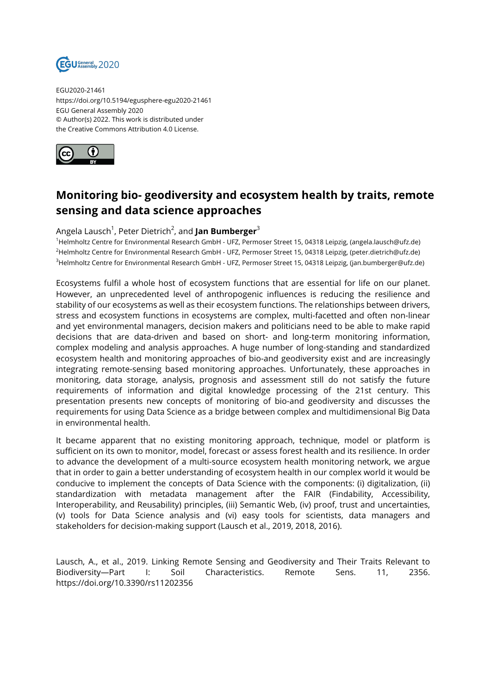

EGU2020-21461 https://doi.org/10.5194/egusphere-egu2020-21461 EGU General Assembly 2020 © Author(s) 2022. This work is distributed under the Creative Commons Attribution 4.0 License.



## **Monitoring bio- geodiversity and ecosystem health by traits, remote sensing and data science approaches**

## Angela Lausch<sup>1</sup>, Peter Dietrich<sup>2</sup>, and **Jan Bumberger**<sup>3</sup>

<sup>1</sup>Helmholtz Centre for Environmental Research GmbH - UFZ, Permoser Street 15, 04318 Leipzig, (angela.lausch@ufz.de) <sup>2</sup>Helmholtz Centre for Environmental Research GmbH - UFZ, Permoser Street 15, 04318 Leipzig, (peter.dietrich@ufz.de) <sup>3</sup>Helmholtz Centre for Environmental Research GmbH - UFZ, Permoser Street 15, 04318 Leipzig, (jan.bumberger@ufz.de)

Ecosystems fulfil a whole host of ecosystem functions that are essential for life on our planet. However, an unprecedented level of anthropogenic influences is reducing the resilience and stability of our ecosystems as well as their ecosystem functions. The relationships between drivers, stress and ecosystem functions in ecosystems are complex, multi-facetted and often non-linear and yet environmental managers, decision makers and politicians need to be able to make rapid decisions that are data-driven and based on short- and long-term monitoring information, complex modeling and analysis approaches. A huge number of long-standing and standardized ecosystem health and monitoring approaches of bio-and geodiversity exist and are increasingly integrating remote-sensing based monitoring approaches. Unfortunately, these approaches in monitoring, data storage, analysis, prognosis and assessment still do not satisfy the future requirements of information and digital knowledge processing of the 21st century. This presentation presents new concepts of monitoring of bio-and geodiversity and discusses the requirements for using Data Science as a bridge between complex and multidimensional Big Data in environmental health.

It became apparent that no existing monitoring approach, technique, model or platform is sufficient on its own to monitor, model, forecast or assess forest health and its resilience. In order to advance the development of a multi-source ecosystem health monitoring network, we argue that in order to gain a better understanding of ecosystem health in our complex world it would be conducive to implement the concepts of Data Science with the components: (i) digitalization, (ii) standardization with metadata management after the FAIR (Findability, Accessibility, Interoperability, and Reusability) principles, (iii) Semantic Web, (iv) proof, trust and uncertainties, (v) tools for Data Science analysis and (vi) easy tools for scientists, data managers and stakeholders for decision-making support (Lausch et al., 2019, 2018, 2016).

Lausch, A., et al., 2019. Linking Remote Sensing and Geodiversity and Their Traits Relevant to Biodiversity—Part I: Soil Characteristics. Remote Sens. 11, 2356. https://doi.org/10.3390/rs11202356